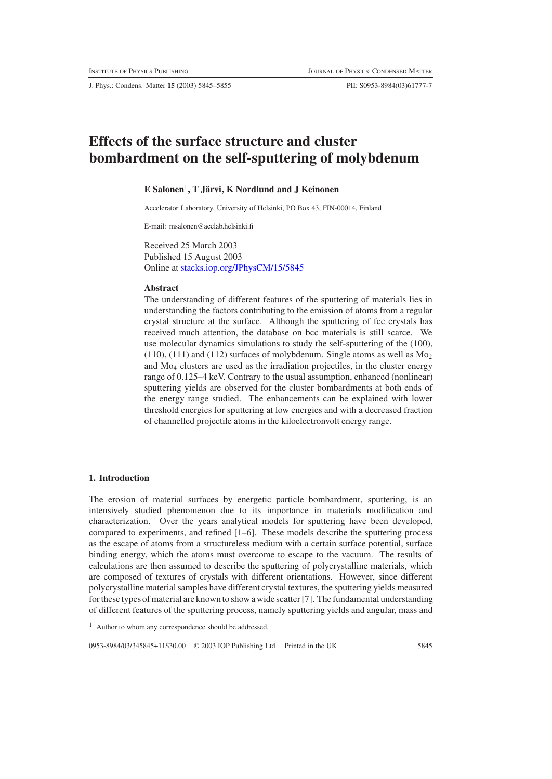J. Phys.: Condens. Matter **15** (2003) 5845–5855 PII: S0953-8984(03)61777-7

# **Effects of the surface structure and cluster bombardment on the self-sputtering of molybdenum**

## **E Salonen**1**,TJarvi, K Nordlund and J Keinonen ¨**

Accelerator Laboratory, University of Helsinki, PO Box 43, FIN-00014, Finland

E-mail: msalonen@acclab.helsinki.fi

Received 25 March 2003 Published 15 August 2003 Online at [stacks.iop.org/JPhysCM/15/5845](http://stacks.iop.org/JPhysCM/15/5845)

## **Abstract**

The understanding of different features of the sputtering of materials lies in understanding the factors contributing to the emission of atoms from a regular crystal structure at the surface. Although the sputtering of fcc crystals has received much attention, the database on bcc materials is still scarce. We use molecular dynamics simulations to study the self-sputtering of the (100), (110), (111) and (112) surfaces of molybdenum. Single atoms as well as  $Mo<sub>2</sub>$ and Mo4 clusters are used as the irradiation projectiles, in the cluster energy range of 0.125–4 keV. Contrary to the usual assumption, enhanced (nonlinear) sputtering yields are observed for the cluster bombardments at both ends of the energy range studied. The enhancements can be explained with lower threshold energies for sputtering at low energies and with a decreased fraction of channelled projectile atoms in the kiloelectronvolt energy range.

# **1. Introduction**

The erosion of material surfaces by energetic particle bombardment, sputtering, is an intensively studied phenomenon due to its importance in materials modification and characterization. Over the years analytical models for sputtering have been developed, compared to experiments, and refined [1–6]. These models describe the sputtering process as the escape of atoms from a structureless medium with a certain surface potential, surface binding energy, which the atoms must overcome to escape to the vacuum. The results of calculations are then assumed to describe the sputtering of polycrystalline materials, which are composed of textures of crystals with different orientations. However, since different polycrystalline material samples have different crystal textures, the sputtering yields measured for these types of material are known to show a wide scatter [7]. The fundamental understanding of different features of the sputtering process, namely sputtering yields and angular, mass and

<sup>1</sup> Author to whom any correspondence should be addressed.

0953-8984/03/345845+11\$30.00 © 2003 IOP Publishing Ltd Printed in the UK 5845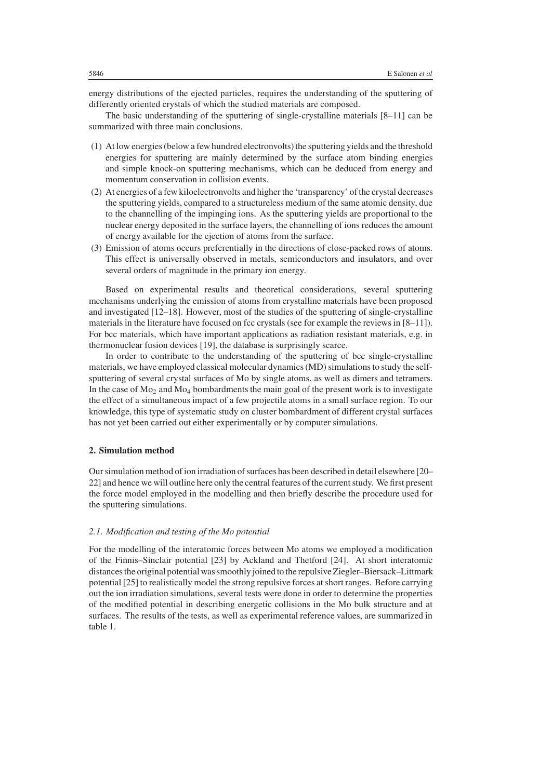energy distributions of the ejected particles, requires the understanding of the sputtering of differently oriented crystals of which the studied materials are composed.

The basic understanding of the sputtering of single-crystalline materials [8–11] can be summarized with three main conclusions.

- (1) At low energies (below a few hundred electronvolts) the sputtering yields and the threshold energies for sputtering are mainly determined by the surface atom binding energies and simple knock-on sputtering mechanisms, which can be deduced from energy and momentum conservation in collision events.
- (2) At energies of a few kiloelectronvolts and higher the 'transparency' of the crystal decreases the sputtering yields, compared to a structureless medium of the same atomic density, due to the channelling of the impinging ions. As the sputtering yields are proportional to the nuclear energy deposited in the surface layers, the channelling of ions reduces the amount of energy available for the ejection of atoms from the surface.
- (3) Emission of atoms occurs preferentially in the directions of close-packed rows of atoms. This effect is universally observed in metals, semiconductors and insulators, and over several orders of magnitude in the primary ion energy.

Based on experimental results and theoretical considerations, several sputtering mechanisms underlying the emission of atoms from crystalline materials have been proposed and investigated [12–18]. However, most of the studies of the sputtering of single-crystalline materials in the literature have focused on fcc crystals (see for example the reviews in [8–11]). For bcc materials, which have important applications as radiation resistant materials, e.g. in thermonuclear fusion devices [19], the database is surprisingly scarce.

In order to contribute to the understanding of the sputtering of bcc single-crystalline materials, we have employed classical molecular dynamics (MD) simulations to study the selfsputtering of several crystal surfaces of Mo by single atoms, as well as dimers and tetramers. In the case of  $Mo<sub>2</sub>$  and  $Mo<sub>4</sub>$  bombardments the main goal of the present work is to investigate the effect of a simultaneous impact of a few projectile atoms in a small surface region. To our knowledge, this type of systematic study on cluster bombardment of different crystal surfaces has not yet been carried out either experimentally or by computer simulations.

## **2. Simulation method**

Our simulation method of ion irradiation of surfaces has been described in detail elsewhere [20– 22] and hence we will outline here only the central features of the current study. We first present the force model employed in the modelling and then briefly describe the procedure used for the sputtering simulations.

#### *2.1. Modification and testing of the Mo potential*

For the modelling of the interatomic forces between Mo atoms we employed a modification of the Finnis–Sinclair potential [23] by Ackland and Thetford [24]. At short interatomic distances the original potential was smoothly joined to the repulsive Ziegler–Biersack–Littmark potential [25] to realistically model the strong repulsive forces at short ranges. Before carrying out the ion irradiation simulations, several tests were done in order to determine the properties of the modified potential in describing energetic collisions in the Mo bulk structure and at surfaces. The results of the tests, as well as experimental reference values, are summarized in table 1.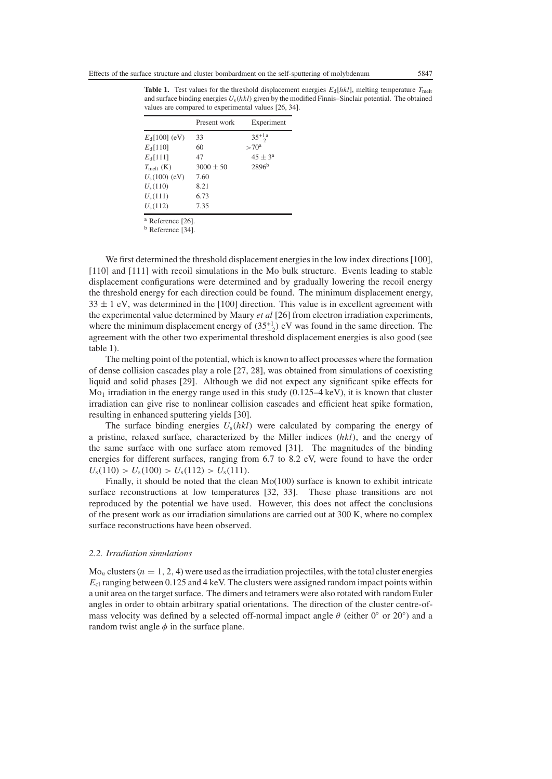**Table 1.** Test values for the threshold displacement energies  $E_d[hkl]$ , melting temperature  $T_{\text{mel}}$ and surface binding energies *U*s(*hkl*) given by the modified Finnis–Sinclair potential. The obtained values are compared to experimental values [26, 34].

| Present work  | Experiment         |
|---------------|--------------------|
| 33            | $35^{+1}_{-2}$     |
| 60            | $>70^{\rm a}$      |
| 47            | $45 \pm 3^{\rm a}$ |
| $3000 \pm 50$ | 2896 <sup>b</sup>  |
| 7.60          |                    |
| 8.21          |                    |
| 6.73          |                    |
| 7.35          |                    |
|               |                    |

<sup>a</sup> Reference [26].

<sup>b</sup> Reference [34].

We first determined the threshold displacement energies in the low index directions [100]. [110] and [111] with recoil simulations in the Mo bulk structure. Events leading to stable displacement configurations were determined and by gradually lowering the recoil energy the threshold energy for each direction could be found. The minimum displacement energy,  $33 \pm 1$  eV, was determined in the [100] direction. This value is in excellent agreement with the experimental value determined by Maury *et al* [26] from electron irradiation experiments, where the minimum displacement energy of  $(35^{+1}_{-2})$  eV was found in the same direction. The agreement with the other two experimental threshold displacement energies is also good (see table 1).

The melting point of the potential, which is known to affect processes where the formation of dense collision cascades play a role [27, 28], was obtained from simulations of coexisting liquid and solid phases [29]. Although we did not expect any significant spike effects for  $Mo<sub>1</sub>$  irradiation in the energy range used in this study (0.125–4 keV), it is known that cluster irradiation can give rise to nonlinear collision cascades and efficient heat spike formation, resulting in enhanced sputtering yields [30].

The surface binding energies  $U_s(hkl)$  were calculated by comparing the energy of a pristine, relaxed surface, characterized by the Miller indices (*hkl*), and the energy of the same surface with one surface atom removed [31]. The magnitudes of the binding energies for different surfaces, ranging from 6.7 to 8.2 eV, were found to have the order  $U_s(110) > U_s(100) > U_s(112) > U_s(111).$ 

Finally, it should be noted that the clean Mo(100) surface is known to exhibit intricate surface reconstructions at low temperatures [32, 33]. These phase transitions are not reproduced by the potential we have used. However, this does not affect the conclusions of the present work as our irradiation simulations are carried out at 300 K, where no complex surface reconstructions have been observed.

## *2.2. Irradiation simulations*

 $Mo<sub>n</sub>$  clusters ( $n = 1, 2, 4$ ) were used as the irradiation projectiles, with the total cluster energies *E*cl ranging between 0.125 and 4 keV. The clusters were assigned random impact points within a unit area on the target surface. The dimers and tetramers were also rotated with random Euler angles in order to obtain arbitrary spatial orientations. The direction of the cluster centre-ofmass velocity was defined by a selected off-normal impact angle  $\theta$  (either 0° or 20°) and a random twist angle  $\phi$  in the surface plane.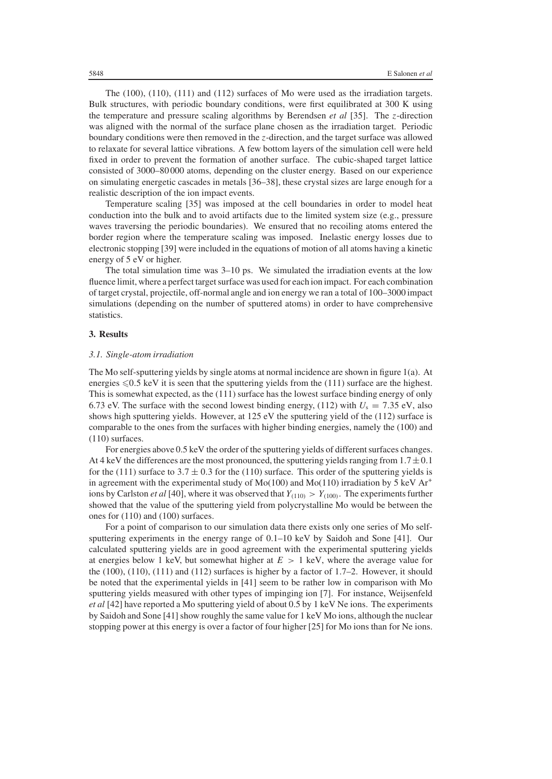The (100), (110), (111) and (112) surfaces of Mo were used as the irradiation targets. Bulk structures, with periodic boundary conditions, were first equilibrated at 300 K using the temperature and pressure scaling algorithms by Berendsen *et al* [35]. The *z*-direction was aligned with the normal of the surface plane chosen as the irradiation target. Periodic boundary conditions were then removed in the *z*-direction, and the target surface was allowed to relaxate for several lattice vibrations. A few bottom layers of the simulation cell were held fixed in order to prevent the formation of another surface. The cubic-shaped target lattice consisted of 3000–80 000 atoms, depending on the cluster energy. Based on our experience on simulating energetic cascades in metals [36–38], these crystal sizes are large enough for a realistic description of the ion impact events.

Temperature scaling [35] was imposed at the cell boundaries in order to model heat conduction into the bulk and to avoid artifacts due to the limited system size (e.g., pressure waves traversing the periodic boundaries). We ensured that no recoiling atoms entered the border region where the temperature scaling was imposed. Inelastic energy losses due to electronic stopping [39] were included in the equations of motion of all atoms having a kinetic energy of 5 eV or higher.

The total simulation time was 3–10 ps. We simulated the irradiation events at the low fluence limit, where a perfect target surface was used for each ion impact. For each combination of target crystal, projectile, off-normal angle and ion energy we ran a total of 100–3000 impact simulations (depending on the number of sputtered atoms) in order to have comprehensive statistics.

## **3. Results**

#### *3.1. Single-atom irradiation*

The Mo self-sputtering yields by single atoms at normal incidence are shown in figure 1(a). At energies  $\leq 0.5$  keV it is seen that the sputtering yields from the (111) surface are the highest. This is somewhat expected, as the (111) surface has the lowest surface binding energy of only 6.73 eV. The surface with the second lowest binding energy, (112) with  $U_s = 7.35$  eV, also shows high sputtering yields. However, at 125 eV the sputtering yield of the (112) surface is comparable to the ones from the surfaces with higher binding energies, namely the (100) and (110) surfaces.

For energies above 0.5 keV the order of the sputtering yields of different surfaces changes. At 4 keV the differences are the most pronounced, the sputtering yields ranging from  $1.7 \pm 0.1$ for the (111) surface to 3.7  $\pm$  0.3 for the (110) surface. This order of the sputtering yields is in agreement with the experimental study of  $Mo(100)$  and  $Mo(110)$  irradiation by 5 keV Ar<sup>+</sup> ions by Carlston *et al* [40], where it was observed that  $Y_{(110)} > Y_{(100)}$ . The experiments further showed that the value of the sputtering yield from polycrystalline Mo would be between the ones for (110) and (100) surfaces.

For a point of comparison to our simulation data there exists only one series of Mo selfsputtering experiments in the energy range of 0.1–10 keV by Saidoh and Sone [41]. Our calculated sputtering yields are in good agreement with the experimental sputtering yields at energies below 1 keV, but somewhat higher at  $E > 1$  keV, where the average value for the  $(100)$ ,  $(110)$ ,  $(111)$  and  $(112)$  surfaces is higher by a factor of 1.7–2. However, it should be noted that the experimental yields in [41] seem to be rather low in comparison with Mo sputtering yields measured with other types of impinging ion [7]. For instance, Weijsenfeld *et al* [42] have reported a Mo sputtering yield of about 0.5 by 1 keV Ne ions. The experiments by Saidoh and Sone [41] show roughly the same value for 1 keV Mo ions, although the nuclear stopping power at this energy is over a factor of four higher [25] for Mo ions than for Ne ions.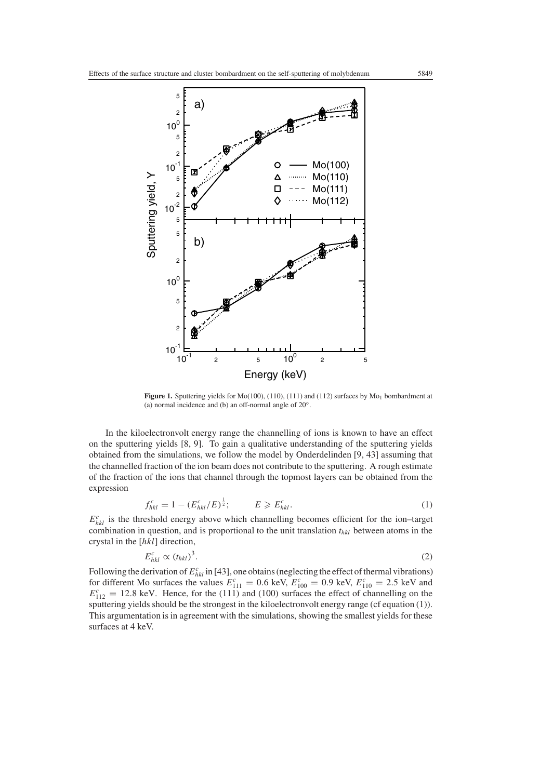

Figure 1. Sputtering yields for  $Mo(100)$ ,  $(110)$ ,  $(111)$  and  $(112)$  surfaces by  $Mo<sub>1</sub>$  bombardment at (a) normal incidence and (b) an off-normal angle of 20◦.

In the kiloelectronvolt energy range the channelling of ions is known to have an effect on the sputtering yields [8, 9]. To gain a qualitative understanding of the sputtering yields obtained from the simulations, we follow the model by Onderdelinden [9, 43] assuming that the channelled fraction of the ion beam does not contribute to the sputtering. A rough estimate of the fraction of the ions that channel through the topmost layers can be obtained from the expression

$$
f_{hkl}^c = 1 - (E_{hkl}^c / E)^{\frac{1}{2}}; \qquad E \geqslant E_{hkl}^c.
$$
 (1)

 $E_{hkl}^c$  is the threshold energy above which channelling becomes efficient for the ion–target combination in question, and is proportional to the unit translation *thkl* between atoms in the crystal in the [*hkl*] direction,

$$
E_{hkl}^c \propto (t_{hkl})^3. \tag{2}
$$

Following the derivation of  $E_{hkl}^c$  in [43], one obtains (neglecting the effect of thermal vibrations) for different Mo surfaces the values  $E_{111}^c = 0.6$  keV,  $E_{100}^c = 0.9$  keV,  $E_{110}^c = 2.5$  keV and  $E_{112}^c = 12.8$  keV. Hence, for the (111) and (100) surfaces the effect of channelling on the sputtering yields should be the strongest in the kiloelectronvolt energy range (cf equation (1)). This argumentation is in agreement with the simulations, showing the smallest yields for these surfaces at 4 keV.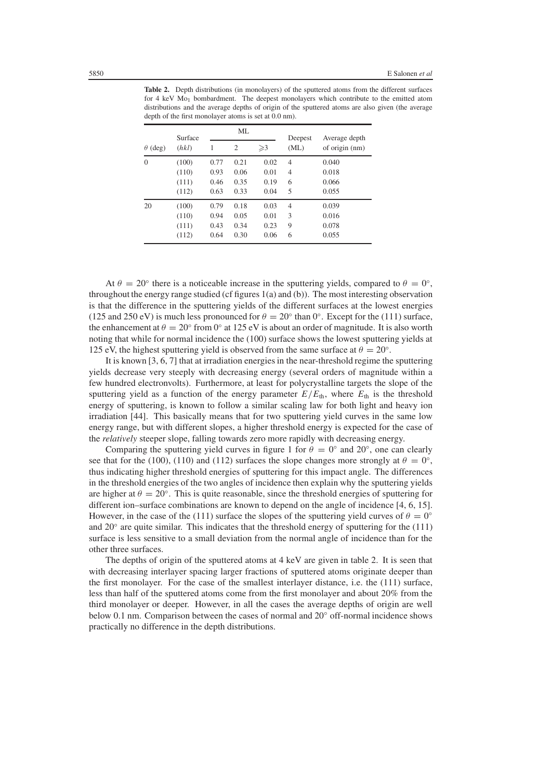**Table 2.** Depth distributions (in monolayers) of the sputtered atoms from the different surfaces for 4 keV  $Mo<sub>1</sub>$  bombardment. The deepest monolayers which contribute to the emitted atom distributions and the average depths of origin of the sputtered atoms are also given (the average depth of the first monolayer atoms is set at 0.0 nm).

|                | Surface | ML   |                |               | Deepest        | Average depth  |
|----------------|---------|------|----------------|---------------|----------------|----------------|
| $\theta$ (deg) | (hkl)   | 1    | $\overline{2}$ | $\geqslant$ 3 | (ML)           | of origin (nm) |
| $\mathbf{0}$   | (100)   | 0.77 | 0.21           | 0.02          | 4              | 0.040          |
|                | (110)   | 0.93 | 0.06           | 0.01          | 4              | 0.018          |
|                | (111)   | 0.46 | 0.35           | 0.19          | 6              | 0.066          |
|                | (112)   | 0.63 | 0.33           | 0.04          | 5              | 0.055          |
| 20             | (100)   | 0.79 | 0.18           | 0.03          | $\overline{4}$ | 0.039          |
|                | (110)   | 0.94 | 0.05           | 0.01          | 3              | 0.016          |
|                | (111)   | 0.43 | 0.34           | 0.23          | 9              | 0.078          |
|                | (112)   | 0.64 | 0.30           | 0.06          | 6              | 0.055          |

At  $\theta = 20^\circ$  there is a noticeable increase in the sputtering yields, compared to  $\theta = 0^\circ$ , throughout the energy range studied (cf figures 1(a) and (b)). The most interesting observation is that the difference in the sputtering yields of the different surfaces at the lowest energies (125 and 250 eV) is much less pronounced for  $\theta = 20^\circ$  than 0°. Except for the (111) surface, the enhancement at  $\theta = 20^\circ$  from 0° at 125 eV is about an order of magnitude. It is also worth noting that while for normal incidence the (100) surface shows the lowest sputtering yields at 125 eV, the highest sputtering yield is observed from the same surface at  $\theta = 20^\circ$ .

It is known [3, 6, 7] that at irradiation energies in the near-threshold regime the sputtering yields decrease very steeply with decreasing energy (several orders of magnitude within a few hundred electronvolts). Furthermore, at least for polycrystalline targets the slope of the sputtering yield as a function of the energy parameter  $E/E<sub>th</sub>$ , where  $E<sub>th</sub>$  is the threshold energy of sputtering, is known to follow a similar scaling law for both light and heavy ion irradiation [44]. This basically means that for two sputtering yield curves in the same low energy range, but with different slopes, a higher threshold energy is expected for the case of the *relatively* steeper slope, falling towards zero more rapidly with decreasing energy.

Comparing the sputtering yield curves in figure 1 for  $\theta = 0^\circ$  and 20°, one can clearly see that for the (100), (110) and (112) surfaces the slope changes more strongly at  $\theta = 0^\circ$ , thus indicating higher threshold energies of sputtering for this impact angle. The differences in the threshold energies of the two angles of incidence then explain why the sputtering yields are higher at  $\theta = 20^\circ$ . This is quite reasonable, since the threshold energies of sputtering for different ion–surface combinations are known to depend on the angle of incidence [4, 6, 15]. However, in the case of the (111) surface the slopes of the sputtering yield curves of  $\theta = 0^\circ$ and 20 $\degree$  are quite similar. This indicates that the threshold energy of sputtering for the (111) surface is less sensitive to a small deviation from the normal angle of incidence than for the other three surfaces.

The depths of origin of the sputtered atoms at 4 keV are given in table 2. It is seen that with decreasing interlayer spacing larger fractions of sputtered atoms originate deeper than the first monolayer. For the case of the smallest interlayer distance, i.e. the (111) surface, less than half of the sputtered atoms come from the first monolayer and about 20% from the third monolayer or deeper. However, in all the cases the average depths of origin are well below 0.1 nm. Comparison between the cases of normal and 20◦ off-normal incidence shows practically no difference in the depth distributions.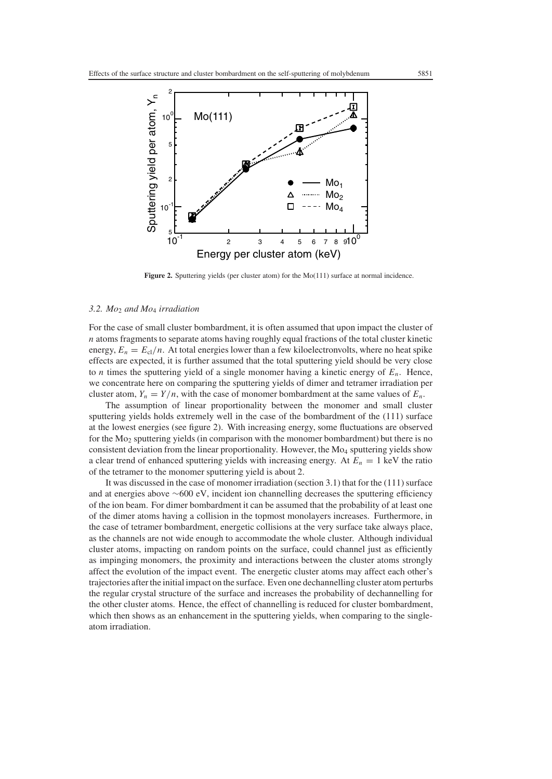

Figure 2. Sputtering yields (per cluster atom) for the Mo(111) surface at normal incidence.

## *3.2. Mo*<sup>2</sup> *and Mo*<sup>4</sup> *irradiation*

For the case of small cluster bombardment, it is often assumed that upon impact the cluster of *n* atoms fragments to separate atoms having roughly equal fractions of the total cluster kinetic energy,  $E_n = E_c / n$ . At total energies lower than a few kiloelectronvolts, where no heat spike effects are expected, it is further assumed that the total sputtering yield should be very close to *n* times the sputtering yield of a single monomer having a kinetic energy of  $E_n$ . Hence, we concentrate here on comparing the sputtering yields of dimer and tetramer irradiation per cluster atom,  $Y_n = Y/n$ , with the case of monomer bombardment at the same values of  $E_n$ .

The assumption of linear proportionality between the monomer and small cluster sputtering yields holds extremely well in the case of the bombardment of the (111) surface at the lowest energies (see figure 2). With increasing energy, some fluctuations are observed for the  $Mo<sub>2</sub>$  sputtering yields (in comparison with the monomer bombardment) but there is no consistent deviation from the linear proportionality. However, the Mo<sub>4</sub> sputtering yields show a clear trend of enhanced sputtering yields with increasing energy. At  $E_n = 1$  keV the ratio of the tetramer to the monomer sputtering yield is about 2.

It was discussed in the case of monomer irradiation (section 3.1) that for the (111) surface and at energies above ∼600 eV, incident ion channelling decreases the sputtering efficiency of the ion beam. For dimer bombardment it can be assumed that the probability of at least one of the dimer atoms having a collision in the topmost monolayers increases. Furthermore, in the case of tetramer bombardment, energetic collisions at the very surface take always place, as the channels are not wide enough to accommodate the whole cluster. Although individual cluster atoms, impacting on random points on the surface, could channel just as efficiently as impinging monomers, the proximity and interactions between the cluster atoms strongly affect the evolution of the impact event. The energetic cluster atoms may affect each other's trajectories after the initial impact on the surface. Even one dechannelling cluster atom perturbs the regular crystal structure of the surface and increases the probability of dechannelling for the other cluster atoms. Hence, the effect of channelling is reduced for cluster bombardment, which then shows as an enhancement in the sputtering yields, when comparing to the singleatom irradiation.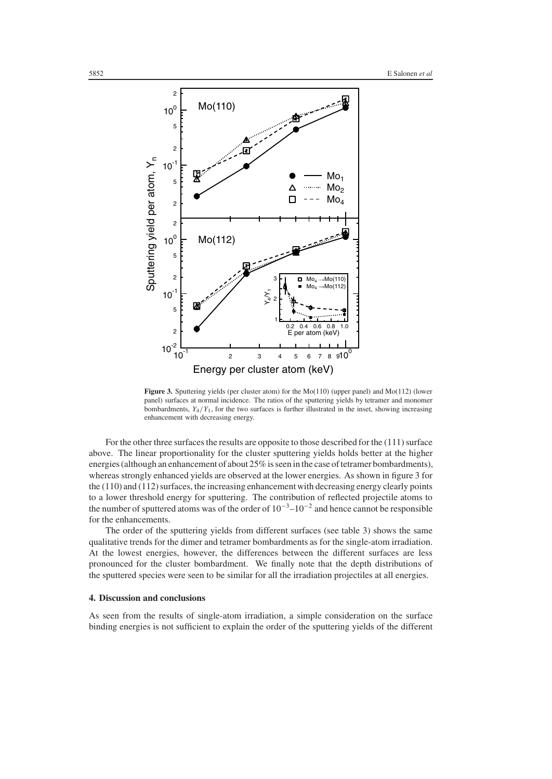

**Figure 3.** Sputtering yields (per cluster atom) for the Mo(110) (upper panel) and Mo(112) (lower panel) surfaces at normal incidence. The ratios of the sputtering yields by tetramer and monomer bombardments,  $Y_4/Y_1$ , for the two surfaces is further illustrated in the inset, showing increasing enhancement with decreasing energy.

For the other three surfaces the results are opposite to those described for the (111) surface above. The linear proportionality for the cluster sputtering yields holds better at the higher energies (although an enhancement of about 25% is seen in the case of tetramer bombardments), whereas strongly enhanced yields are observed at the lower energies. As shown in figure 3 for the (110) and (112) surfaces, the increasing enhancement with decreasing energy clearly points to a lower threshold energy for sputtering. The contribution of reflected projectile atoms to the number of sputtered atoms was of the order of  $10^{-3}$ – $10^{-2}$  and hence cannot be responsible for the enhancements.

The order of the sputtering yields from different surfaces (see table 3) shows the same qualitative trends for the dimer and tetramer bombardments as for the single-atom irradiation. At the lowest energies, however, the differences between the different surfaces are less pronounced for the cluster bombardment. We finally note that the depth distributions of the sputtered species were seen to be similar for all the irradiation projectiles at all energies.

# **4. Discussion and conclusions**

As seen from the results of single-atom irradiation, a simple consideration on the surface binding energies is not sufficient to explain the order of the sputtering yields of the different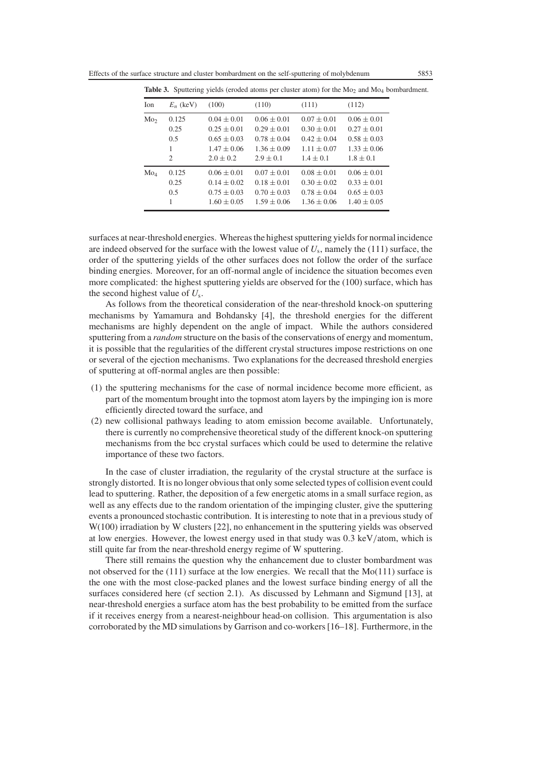Effects of the surface structure and cluster bombardment on the self-sputtering of molybdenum 5853

| represented for the company for a company can be a company of the company of the company of the company of the |             |                 |                 |                 |                 |  |
|----------------------------------------------------------------------------------------------------------------|-------------|-----------------|-----------------|-----------------|-----------------|--|
| Ion                                                                                                            | $E_n$ (keV) | (100)           | (110)           | (111)           | (112)           |  |
| Mo <sub>2</sub>                                                                                                | 0.125       | $0.04 \pm 0.01$ | $0.06 \pm 0.01$ | $0.07 \pm 0.01$ | $0.06 \pm 0.01$ |  |
|                                                                                                                | 0.25        | $0.25 \pm 0.01$ | $0.29 \pm 0.01$ | $0.30 \pm 0.01$ | $0.27 \pm 0.01$ |  |
|                                                                                                                | 0.5         | $0.65 \pm 0.03$ | $0.78 \pm 0.04$ | $0.42 \pm 0.04$ | $0.58 \pm 0.03$ |  |
|                                                                                                                | 1           | $1.47 \pm 0.06$ | $1.36 \pm 0.09$ | $1.11 \pm 0.07$ | $1.33 \pm 0.06$ |  |
|                                                                                                                | 2           | $2.0 \pm 0.2$   | $2.9 \pm 0.1$   | $1.4 \pm 0.1$   | $1.8 \pm 0.1$   |  |
| Mo <sub>4</sub>                                                                                                | 0.125       | $0.06 \pm 0.01$ | $0.07 \pm 0.01$ | $0.08 \pm 0.01$ | $0.06 \pm 0.01$ |  |
|                                                                                                                | 0.25        | $0.14 \pm 0.02$ | $0.18 \pm 0.01$ | $0.30 \pm 0.02$ | $0.33 \pm 0.01$ |  |
|                                                                                                                | 0.5         | $0.75 \pm 0.03$ | $0.70 \pm 0.03$ | $0.78 \pm 0.04$ | $0.65 \pm 0.03$ |  |
|                                                                                                                | 1           | $1.60 \pm 0.05$ | $1.59 \pm 0.06$ | $1.36 \pm 0.06$ | $1.40 \pm 0.05$ |  |

**Table 3.** Sputtering yields (eroded atoms per cluster atom) for the Mo<sub>2</sub> and M<sub>O4</sub> bombardment.

surfaces at near-threshold energies. Whereas the highest sputtering yields for normal incidence are indeed observed for the surface with the lowest value of  $U_s$ , namely the (111) surface, the order of the sputtering yields of the other surfaces does not follow the order of the surface binding energies. Moreover, for an off-normal angle of incidence the situation becomes even more complicated: the highest sputtering yields are observed for the (100) surface, which has the second highest value of *U*s.

As follows from the theoretical consideration of the near-threshold knock-on sputtering mechanisms by Yamamura and Bohdansky [4], the threshold energies for the different mechanisms are highly dependent on the angle of impact. While the authors considered sputtering from a *random* structure on the basis of the conservations of energy and momentum, it is possible that the regularities of the different crystal structures impose restrictions on one or several of the ejection mechanisms. Two explanations for the decreased threshold energies of sputtering at off-normal angles are then possible:

- (1) the sputtering mechanisms for the case of normal incidence become more efficient, as part of the momentum brought into the topmost atom layers by the impinging ion is more efficiently directed toward the surface, and
- (2) new collisional pathways leading to atom emission become available. Unfortunately, there is currently no comprehensive theoretical study of the different knock-on sputtering mechanisms from the bcc crystal surfaces which could be used to determine the relative importance of these two factors.

In the case of cluster irradiation, the regularity of the crystal structure at the surface is strongly distorted. It is no longer obvious that only some selected types of collision event could lead to sputtering. Rather, the deposition of a few energetic atoms in a small surface region, as well as any effects due to the random orientation of the impinging cluster, give the sputtering events a pronounced stochastic contribution. It is interesting to note that in a previous study of W(100) irradiation by W clusters [22], no enhancement in the sputtering yields was observed at low energies. However, the lowest energy used in that study was 0.3 keV/atom, which is still quite far from the near-threshold energy regime of W sputtering.

There still remains the question why the enhancement due to cluster bombardment was not observed for the  $(111)$  surface at the low energies. We recall that the Mo $(111)$  surface is the one with the most close-packed planes and the lowest surface binding energy of all the surfaces considered here (cf section 2.1). As discussed by Lehmann and Sigmund [13], at near-threshold energies a surface atom has the best probability to be emitted from the surface if it receives energy from a nearest-neighbour head-on collision. This argumentation is also corroborated by the MD simulations by Garrison and co-workers [16–18]. Furthermore, in the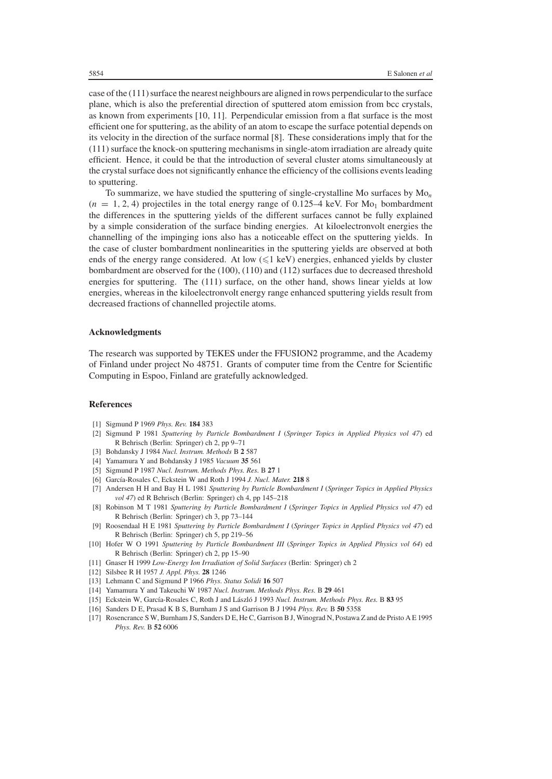case of the (111) surface the nearest neighbours are aligned in rows perpendicular to the surface plane, which is also the preferential direction of sputtered atom emission from bcc crystals, as known from experiments [10, 11]. Perpendicular emission from a flat surface is the most efficient one for sputtering, as the ability of an atom to escape the surface potential depends on its velocity in the direction of the surface normal [8]. These considerations imply that for the (111) surface the knock-on sputtering mechanisms in single-atom irradiation are already quite efficient. Hence, it could be that the introduction of several cluster atoms simultaneously at the crystal surface does not significantly enhance the efficiency of the collisions events leading to sputtering.

To summarize, we have studied the sputtering of single-crystalline Mo surfaces by Mo*<sup>n</sup>*  $(n = 1, 2, 4)$  projectiles in the total energy range of 0.125–4 keV. For M<sub>O1</sub> bombardment the differences in the sputtering yields of the different surfaces cannot be fully explained by a simple consideration of the surface binding energies. At kiloelectronvolt energies the channelling of the impinging ions also has a noticeable effect on the sputtering yields. In the case of cluster bombardment nonlinearities in the sputtering yields are observed at both ends of the energy range considered. At low  $(\leq 1 \text{ keV})$  energies, enhanced yields by cluster bombardment are observed for the (100), (110) and (112) surfaces due to decreased threshold energies for sputtering. The (111) surface, on the other hand, shows linear yields at low energies, whereas in the kiloelectronvolt energy range enhanced sputtering yields result from decreased fractions of channelled projectile atoms.

#### **Acknowledgments**

The research was supported by TEKES under the FFUSION2 programme, and the Academy of Finland under project No 48751. Grants of computer time from the Centre for Scientific Computing in Espoo, Finland are gratefully acknowledged.

## **References**

- [1] Sigmund P 1969 *Phys. Rev.* **184** 383
- [2] Sigmund P 1981 *Sputtering by Particle Bombardment I* (*Springer Topics in Applied Physics vol 47*) ed R Behrisch (Berlin: Springer) ch 2, pp 9–71
- [3] Bohdansky J 1984 *Nucl. Instrum. Methods* B **2** 587
- [4] Yamamura Y and Bohdansky J 1985 *Vacuum* **35** 561
- [5] Sigmund P 1987 *Nucl. Instrum. Methods Phys. Res.* B **27** 1
- [6] García-Rosales C, Eckstein W and Roth J 1994 *J. Nucl. Mater.* 218 8
- [7] Andersen H H and Bay H L 1981 *Sputtering by Particle Bombardment I* (*Springer Topics in Applied Physics vol 47*) ed R Behrisch (Berlin: Springer) ch 4, pp 145–218
- [8] Robinson M T 1981 *Sputtering by Particle Bombardment I* (*Springer Topics in Applied Physics vol 47*) ed R Behrisch (Berlin: Springer) ch 3, pp 73–144
- [9] Roosendaal H E 1981 *Sputtering by Particle Bombardment I* (*Springer Topics in Applied Physics vol 47*) ed R Behrisch (Berlin: Springer) ch 5, pp 219–56
- [10] Hofer W O 1991 *Sputtering by Particle Bombardment III* (*Springer Topics in Applied Physics vol 64*) ed R Behrisch (Berlin: Springer) ch 2, pp 15–90
- [11] Gnaser H 1999 *Low-Energy Ion Irradiation of Solid Surfaces* (Berlin: Springer) ch 2
- [12] Silsbee R H 1957 *J. Appl. Phys.* **28** 1246
- [13] Lehmann C and Sigmund P 1966 *Phys. Status Solidi* **16** 507
- [14] Yamamura Y and Takeuchi W 1987 *Nucl. Instrum. Methods Phys. Res.* B **29** 461
- [15] Eckstein W, García-Rosales C, Roth J and László J 1993 *Nucl. Instrum. Methods Phys. Res.* B 83 95
- [16] Sanders D E, Prasad K B S, Burnham J S and Garrison B J 1994 *Phys. Rev.* B **50** 5358
- [17] Rosencrance S W, Burnham J S, Sanders D E, He C, Garrison B J, Winograd N, Postawa Z and de Pristo A E 1995 *Phys. Rev.* B **52** 6006